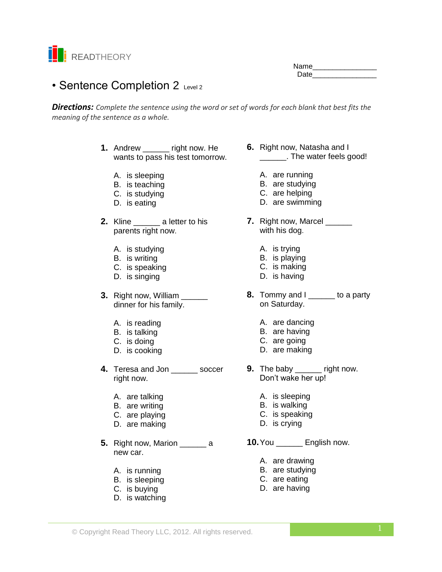

Name\_\_\_\_\_\_\_\_\_\_\_\_\_\_\_\_ Date **Date** 

# • Sentence Completion 2 Level 2

*Directions: Complete the sentence using the word or set of words for each blank that best fits the meaning of the sentence as a whole.*

- **1.** Andrew **right now. He** wants to pass his test tomorrow.
	- A. is sleeping
	- B. is teaching
	- C. is studying
	- D. is eating
- **2.** Kline \_\_\_\_\_\_ a letter to his parents right now.
	- A. is studying
	- B. is writing
	- C. is speaking
	- D. is singing
- **3.** Right now, William \_\_\_\_\_\_ dinner for his family.
	- A. is reading
	- B. is talking
	- C. is doing
	- D. is cooking
- **4.** Teresa and Jon \_\_\_\_\_\_ soccer right now.
	- A. are talking
	- B. are writing
	- C. are playing
	- D. are making
- **5.** Right now, Marion \_\_\_\_\_\_\_ a new car.
	- A. is running
	- B. is sleeping
	- C. is buying
	- D. is watching
- **6.** Right now, Natasha and I \_\_\_\_\_\_. The water feels good!
	- A. are running
	- B. are studying
	- C. are helping
	- D. are swimming
- **7.** Right now, Marcel \_\_\_\_\_\_ with his dog.
	- A. is trying
	- B. is playing
	- C. is making
	- D. is having
- **8.** Tommy and I \_\_\_\_\_\_ to a party on Saturday.
	- A. are dancing
	- B. are having
	- C. are going
	- D. are making
- **9.** The baby \_\_\_\_\_\_ right now. Don't wake her up!
	- A. is sleeping
	- B. is walking
	- C. is speaking
	- D. is crying

**10.**You \_\_\_\_\_\_ English now.

- A. are drawing
- B. are studying
- C. are eating
- D. are having